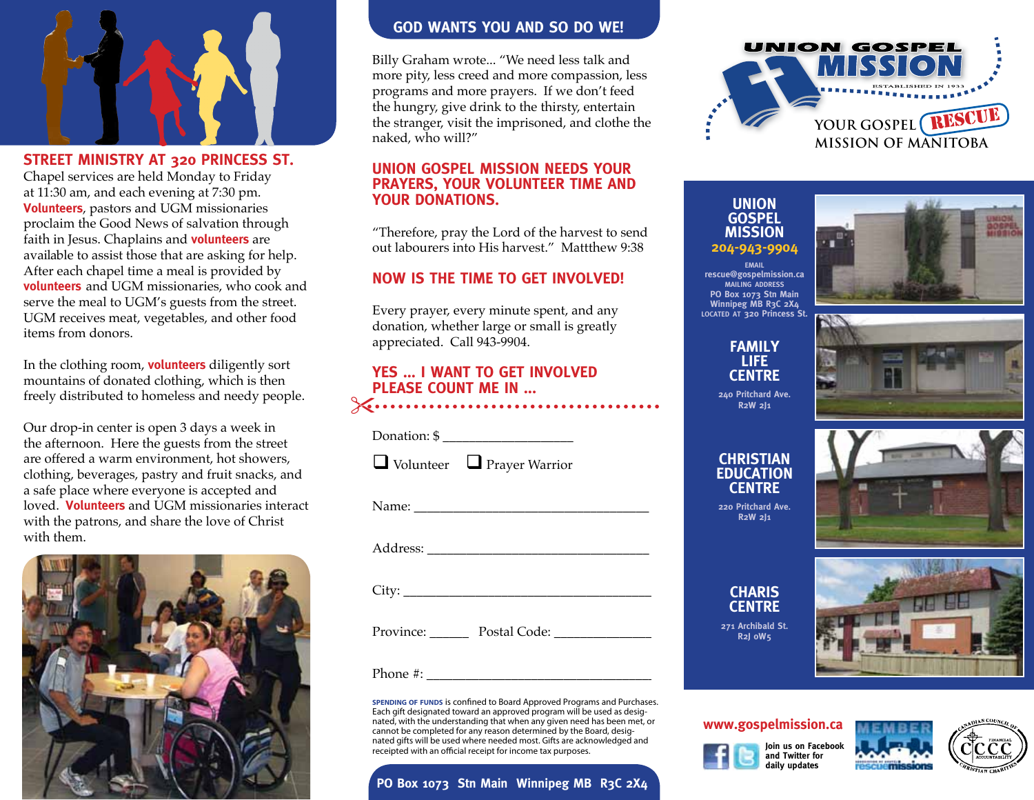

**STREET MINISTRY AT 320 PRINCESS ST.**  Chapel services are held Monday to Friday at 11:30 am, and each evening at 7:30 pm. **Volunteers**, pastors and UGM missionaries proclaim the Good News of salvation through faith in Jesus. Chaplains and **volunteers** are available to assist those that are asking for help. After each chapel time a meal is provided by **volunteers** and UGM missionaries, who cook and serve the meal to UGM's guests from the street. UGM receives meat, vegetables, and other food items from donors.

In the clothing room, **volunteers** diligently sort mountains of donated clothing, which is then freely distributed to homeless and needy people.

Our drop-in center is open 3 days a week in the afternoon. Here the guests from the street are offered a warm environment, hot showers, clothing, beverages, pastry and fruit snacks, and a safe place where everyone is accepted and loved. **Volunteers** and UGM missionaries interact with the patrons, and share the love of Christ with them.



## **GOD WANTS YOU AND SO DO WE!**

Billy Graham wrote... "We need less talk and more pity, less creed and more compassion, less programs and more prayers. If we don't feed the hungry, give drink to the thirsty, entertain the stranger, visit the imprisoned, and clothe the naked, who will?"

## **UNION GOSPEL MISSION NEEDS YOUR PRAYERS, YOUR VOLUNTEER TIME AND YOUR DONATIONS.**

"Therefore, pray the Lord of the harvest to send out labourers into His harvest." Mattthew 9:38

# **NOW IS THE TIME TO GET INVOLVED!**

Every prayer, every minute spent, and any donation, whether large or small is greatly appreciated. Call 943-9904.

### **YES ... I WANT TO GET INVOLVED PLEASE COUNT ME IN ...**

| Donation: $\frac{6}{3}$ |
|-------------------------|
|-------------------------|

 $\Box$  Volunteer  $\Box$  Prayer Warrior

Name: \_\_\_\_\_\_\_\_\_\_\_\_\_\_\_\_\_\_\_\_\_\_\_\_\_\_\_\_\_\_\_\_\_\_\_\_

Address:

City: \_\_\_\_\_\_\_\_\_\_\_\_\_\_\_\_\_\_\_\_\_\_\_\_\_\_\_\_\_\_\_\_\_\_\_\_\_\_

Province: \_\_\_\_\_\_ Postal Code: \_\_\_\_\_\_\_\_\_\_\_\_\_\_\_

Phone  $\#$ :

**spending of funds** is confined to Board Approved Programs and Purchases. Each gift designated toward an approved program will be used as designated, with the understanding that when any given need has been met, or cannot be completed for any reason determined by the Board, designated gifts will be used where needed most. Gifts are acknowledged and receipted with an official receipt for income tax purposes.

# **PO Box 1073 Stn Main Winnipeg MB R3C 2X4**



**Union Gospel Mission 204-943-9904**



**email rescue@gospelmission.ca mailing address PO Box 1073 Stn Main Winnipeg MB R3C 2X4 located at 320 Princess St.**

> **Family Life Centre**



**240 Pritchard Ave. R2W 2J1**

# **Christian Education Centre**

**220 Pritchard Ave. R2W 2J1**



**CHARIS Centre 271 Archibald St.** 

**R2J 0W5**



## **www.gospelmission.ca**